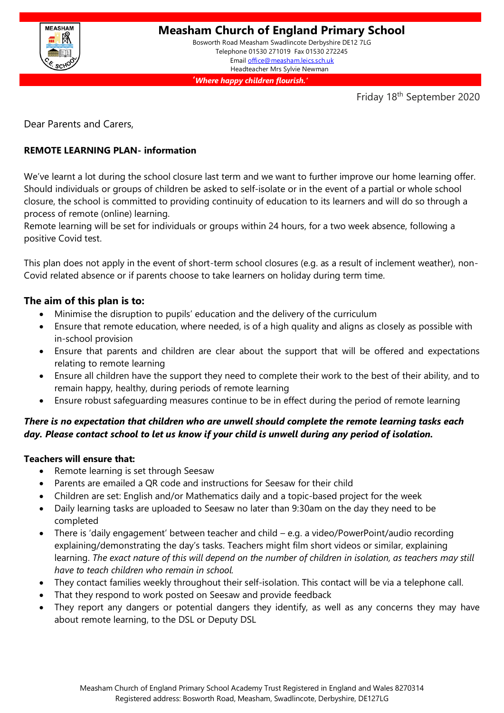

Telephone 01530 271019 Fax 01530 272245 Email [office@measham.leics.sch.uk](mailto:office@measham.leics.sch.uk) Headteacher Mrs Sylvie Newman

**'***Where happy children flourish.'*

Friday 18<sup>th</sup> September 2020

Dear Parents and Carers,

# **REMOTE LEARNING PLAN- information**

We've learnt a lot during the school closure last term and we want to further improve our home learning offer. Should individuals or groups of children be asked to self-isolate or in the event of a partial or whole school closure, the school is committed to providing continuity of education to its learners and will do so through a process of remote (online) learning.

Remote learning will be set for individuals or groups within 24 hours, for a two week absence, following a positive Covid test.

This plan does not apply in the event of short-term school closures (e.g. as a result of inclement weather), non-Covid related absence or if parents choose to take learners on holiday during term time.

## **The aim of this plan is to:**

- Minimise the disruption to pupils' education and the delivery of the curriculum
- Ensure that remote education, where needed, is of a high quality and aligns as closely as possible with in-school provision
- Ensure that parents and children are clear about the support that will be offered and expectations relating to remote learning
- Ensure all children have the support they need to complete their work to the best of their ability, and to remain happy, healthy, during periods of remote learning
- Ensure robust safeguarding measures continue to be in effect during the period of remote learning

# *There is no expectation that children who are unwell should complete the remote learning tasks each day. Please contact school to let us know if your child is unwell during any period of isolation.*

## **Teachers will ensure that:**

- Remote learning is set through Seesaw
- Parents are emailed a QR code and instructions for Seesaw for their child
- Children are set: English and/or Mathematics daily and a topic-based project for the week
- Daily learning tasks are uploaded to Seesaw no later than 9:30am on the day they need to be completed
- There is 'daily engagement' between teacher and child e.g. a video/PowerPoint/audio recording explaining/demonstrating the day's tasks. Teachers might film short videos or similar, explaining learning. *The exact nature of this will depend on the number of children in isolation, as teachers may still have to teach children who remain in school.*
- They contact families weekly throughout their self-isolation. This contact will be via a telephone call.
- That they respond to work posted on Seesaw and provide feedback
- They report any dangers or potential dangers they identify, as well as any concerns they may have about remote learning, to the DSL or Deputy DSL